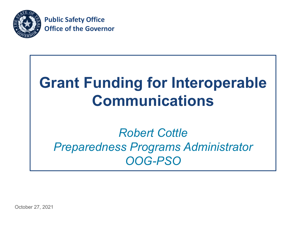

**Public Safety Office Office of the Governor**

# **Grant Funding for Interoperable Communications**

### *Robert Cottle Preparedness Programs Administrator OOG-PSO*

October 27, 2021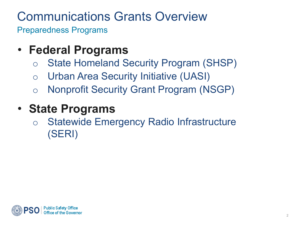# Communications Grants Overview

Preparedness Programs

### • **Federal Programs**

- o State Homeland Security Program (SHSP)
- o Urban Area Security Initiative (UASI)
- o Nonprofit Security Grant Program (NSGP)

### • **State Programs**

o Statewide Emergency Radio Infrastructure (SERI)

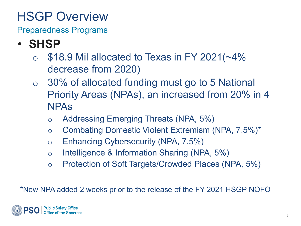Preparedness Programs

- **SHSP** 
	- $\circ$  \$18.9 Mil allocated to Texas in FY 2021( $\sim$ 4% decrease from 2020)
	- o 30% of allocated funding must go to 5 National Priority Areas (NPAs), an increased from 20% in 4 NPAs
		- o Addressing Emerging Threats (NPA, 5%)
		- o Combating Domestic Violent Extremism (NPA, 7.5%)\*
		- o Enhancing Cybersecurity (NPA, 7.5%)
		- o Intelligence & Information Sharing (NPA, 5%)
		- o Protection of Soft Targets/Crowded Places (NPA, 5%)

\*New NPA added 2 weeks prior to the release of the FY 2021 HSGP NOFO

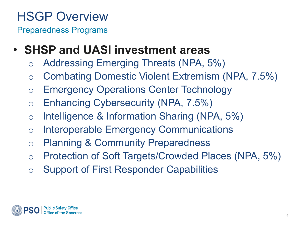- **SHSP and UASI investment areas**
	- o Addressing Emerging Threats (NPA, 5%)
	- o Combating Domestic Violent Extremism (NPA, 7.5%)
	- o Emergency Operations Center Technology
	- o Enhancing Cybersecurity (NPA, 7.5%)
	- o Intelligence & Information Sharing (NPA, 5%)
	- o Interoperable Emergency Communications
	- o Planning & Community Preparedness
	- o Protection of Soft Targets/Crowded Places (NPA, 5%)
	- o Support of First Responder Capabilities

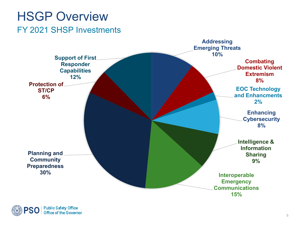### FY 2021 SHSP Investments HSGP Overview



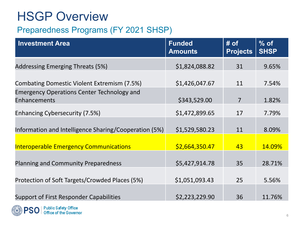#### Preparedness Programs (FY 2021 SHSP)

| <b>Investment Area</b>                                            | <b>Funded</b><br><b>Amounts</b> | $#$ of<br><b>Projects</b> | $%$ of<br><b>SHSP</b> |
|-------------------------------------------------------------------|---------------------------------|---------------------------|-----------------------|
| <b>Addressing Emerging Threats (5%)</b>                           | \$1,824,088.82                  | 31                        | 9.65%                 |
| Combating Domestic Violent Extremism (7.5%)                       | \$1,426,047.67                  | 11                        | 7.54%                 |
| <b>Emergency Operations Center Technology and</b><br>Enhancements | \$343,529.00                    | $\overline{7}$            | 1.82%                 |
| Enhancing Cybersecurity (7.5%)                                    | \$1,472,899.65                  | 17                        | 7.79%                 |
| Information and Intelligence Sharing/Cooperation (5%)             | \$1,529,580.23                  | 11                        | 8.09%                 |
| <b>Interoperable Emergency Communications</b>                     | \$2,664,350.47                  | 43                        | 14.09%                |
| <b>Planning and Community Preparedness</b>                        | \$5,427,914.78                  | 35                        | 28.71%                |
| Protection of Soft Targets/Crowded Places (5%)                    | \$1,051,093.43                  | 25                        | 5.56%                 |
| Support of First Responder Capabilities                           | \$2,223,229.90                  | 36                        | 11.76%                |
|                                                                   |                                 |                           |                       |

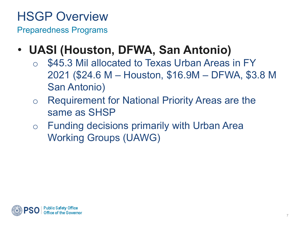- **UASI (Houston, DFWA, San Antonio)** 
	- \$45.3 Mil allocated to Texas Urban Areas in FY 2021 (\$24.6 M – Houston, \$16.9M – DFWA, \$3.8 M San Antonio)
	- o Requirement for National Priority Areas are the same as SHSP
	- o Funding decisions primarily with Urban Area Working Groups (UAWG)

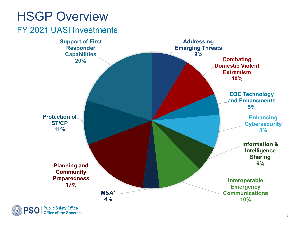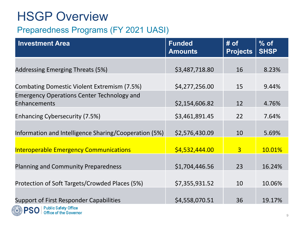#### Preparedness Programs (FY 2021 UASI)

| <b>Investment Area</b>                                              | <b>Funded</b><br><b>Amounts</b> | $#$ of<br><b>Projects</b> | $%$ of<br><b>SHSP</b> |
|---------------------------------------------------------------------|---------------------------------|---------------------------|-----------------------|
| Addressing Emerging Threats (5%)                                    | \$3,487,718.80                  | 16                        | 8.23%                 |
| Combating Domestic Violent Extremism (7.5%)                         | \$4,277,256.00                  | 15                        | 9.44%                 |
| <b>Emergency Operations Center Technology and</b><br>Enhancements   | \$2,154,606.82                  | 12                        | 4.76%                 |
| Enhancing Cybersecurity (7.5%)                                      | \$3,461,891.45                  | 22                        | 7.64%                 |
| Information and Intelligence Sharing/Cooperation (5%)               | \$2,576,430.09                  | 10                        | 5.69%                 |
| <b>Interoperable Emergency Communications</b>                       | \$4,532,444.00                  | $\overline{3}$            | 10.01%                |
| <b>Planning and Community Preparedness</b>                          | \$1,704,446.56                  | 23                        | 16.24%                |
| Protection of Soft Targets/Crowded Places (5%)                      | \$7,355,931.52                  | 10                        | 10.06%                |
| <b>Support of First Responder Capabilities</b>                      | \$4,558,070.51                  | 36                        | 19.17%                |
| <b>Public Safety Office</b><br><b>PSO</b><br>Office of the Governor |                                 |                           |                       |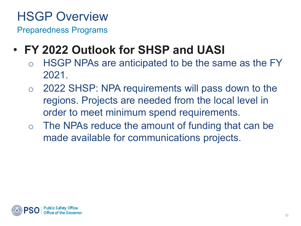Preparedness Programs

### • **FY 2022 Outlook for SHSP and UASI**

- o HSGP NPAs are anticipated to be the same as the FY 2021.
- o 2022 SHSP: NPA requirements will pass down to the regions. Projects are needed from the local level in order to meet minimum spend requirements.
- $\circ$  The NPAs reduce the amount of funding that can be made available for communications projects.

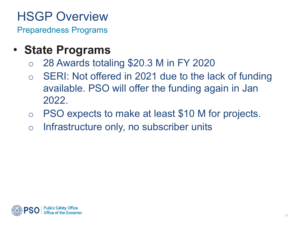- **State Programs**
	- o 28 Awards totaling \$20.3 M in FY 2020
	- o SERI: Not offered in 2021 due to the lack of funding available. PSO will offer the funding again in Jan 2022.
	- o PSO expects to make at least \$10 M for projects.
	- o Infrastructure only, no subscriber units

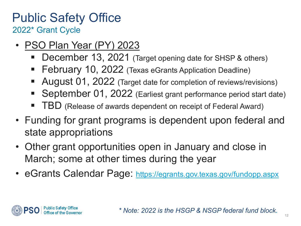### Public Safety Office 2022\* Grant Cycle

- PSO Plan Year (PY) 2023
	- December 13, 2021 (Target opening date for SHSP & others)
	- February 10, 2022 (Texas eGrants Application Deadline)
	- August 01, 2022 (Target date for completion of reviews/revisions)
	- September 01, 2022 (Earliest grant performance period start date)
	- TBD (Release of awards dependent on receipt of Federal Award)
- Funding for grant programs is dependent upon federal and state appropriations
- Other grant opportunities open in January and close in March; some at other times during the year
- eGrants Calendar Page:<https://egrants.gov.texas.gov/fundopp.aspx>